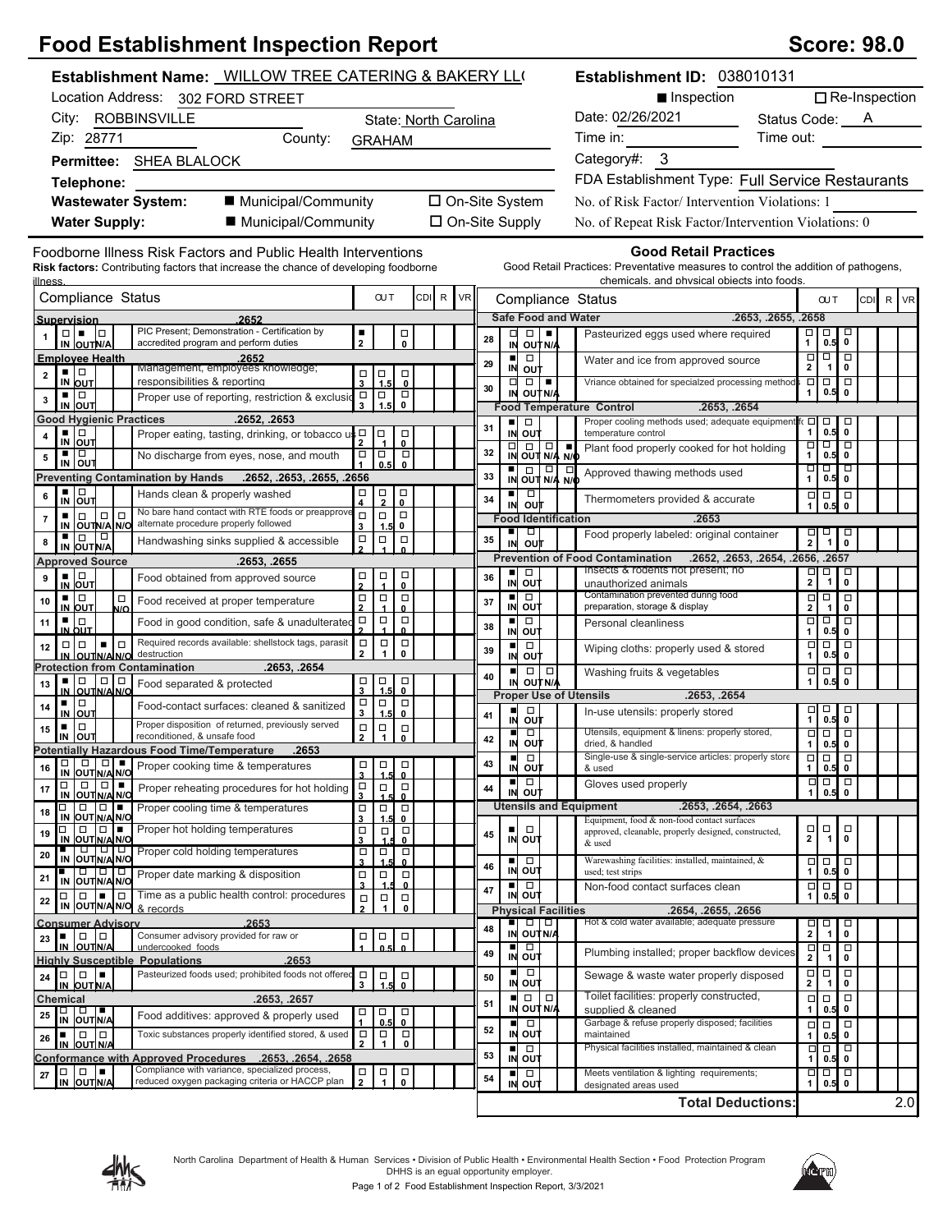## **Food Establishment Inspection Report Score: 98.0** Score: 98.0

| Establishment Name: WILLOW TREE CATERING & BAKERY LL(                                                                                                                                                                                                | Establishment ID: 038010131                                                                                                                                                                                          |
|------------------------------------------------------------------------------------------------------------------------------------------------------------------------------------------------------------------------------------------------------|----------------------------------------------------------------------------------------------------------------------------------------------------------------------------------------------------------------------|
| Location Address: 302 FORD STREET                                                                                                                                                                                                                    | Inspection<br>$\Box$ Re-Inspection                                                                                                                                                                                   |
| City: ROBBINSVILLE<br>State: North Carolina                                                                                                                                                                                                          | Date: 02/26/2021<br>Status Code: A                                                                                                                                                                                   |
| Zip: 28771<br>County:<br><b>GRAHAM</b>                                                                                                                                                                                                               | Time in:<br>Time out:                                                                                                                                                                                                |
| Permittee: SHEA BLALOCK                                                                                                                                                                                                                              | Category#: 3                                                                                                                                                                                                         |
| Telephone:                                                                                                                                                                                                                                           | FDA Establishment Type: Full Service Restaurants                                                                                                                                                                     |
| ■ Municipal/Community<br><b>Wastewater System:</b>                                                                                                                                                                                                   | □ On-Site System<br>No. of Risk Factor/Intervention Violations: 1                                                                                                                                                    |
| ■ Municipal/Community<br><b>Water Supply:</b>                                                                                                                                                                                                        | □ On-Site Supply<br>No. of Repeat Risk Factor/Intervention Violations: 0                                                                                                                                             |
| Foodborne Illness Risk Factors and Public Health Interventions<br>Risk factors: Contributing factors that increase the chance of developing foodborne<br><u>illness</u>                                                                              | <b>Good Retail Practices</b><br>Good Retail Practices: Preventative measures to control the addition of pathogens,<br>chemicals. and physical objects into foods.                                                    |
| CDI R<br><b>VR</b><br>Compliance Status<br><b>OUT</b>                                                                                                                                                                                                | Compliance Status<br>CDI R VR<br><b>CUT</b>                                                                                                                                                                          |
| 2652<br>Supervision<br>PIC Present; Demonstration - Certification by<br>$\square \vdash \blacksquare$<br>$\Box$                                                                                                                                      | <b>Safe Food and Water</b><br>.2653, .2655, .2658<br>$\Box$<br>$\Box$<br>□<br>٠<br>ц                                                                                                                                 |
| $\frac{1}{2}$<br>口<br>0<br>accredited program and perform duties<br>IN OUTN/A                                                                                                                                                                        | 口<br>1<br>Pasteurized eggs used where required<br>28<br>$\mathbf 0$<br>0.5<br>IN OUT N/A                                                                                                                             |
| <b>Emplovee Health</b><br>.2652.<br>Management, employees knowledge;<br>▪ ▏□<br>$\Box$                                                                                                                                                               | $\Box$<br>$\Box$<br>$\Box$<br>$\blacksquare$<br>Water and ice from approved source<br>29<br>$\mathbf{2}$<br>$\mathbf 0$<br>$\mathbf{1}$<br>IN OUT                                                                    |
| $\frac{1}{3}$ $\frac{1}{1.5}$<br>$\overline{\mathbf{2}}$<br>responsibilities & reporting<br>IN OUT<br>$\mathbf 0$                                                                                                                                    | Vriance obtained for specialzed processing method<br>Ξ<br>0   0<br>$\Box$<br>$\Box$<br>30<br>0.5<br>$\mathbf 0$<br>1<br>IN OUT N/A                                                                                   |
| $\Box$<br>▪ ▏□<br>$\Box$<br>Proper use of reporting, restriction & exclusio<br>3<br>$\pmb{0}$<br>IN OUT<br>1.5                                                                                                                                       | .2653. .2654<br><b>Food Temperature Control</b>                                                                                                                                                                      |
| <b>Good Hygienic Practices</b><br>.2652, .2653<br>▪ ▏□<br>$\Box$<br>$\Box$                                                                                                                                                                           | Proper cooling methods used; adequate equipment<br>$\Box$<br>$\Box$<br>о<br>п<br>$\Box$<br>31<br>$\mathbf{1}$<br>0.5<br>$\mathbf{0}$<br>IN OUT<br>temperature control                                                |
| Proper eating, tasting, drinking, or tobacco us □<br>4<br>IN OUT<br>$\overline{\phantom{a}}$<br>$\Box$                                                                                                                                               | ० ०<br>Δ<br>$\frac{1}{N}$ out $\frac{1}{N/4}$<br>٠<br>Plant food properly cooked for hot holding<br>32                                                                                                               |
| $\Box$<br>$\Box$<br>No discharge from eyes, nose, and mouth<br>${\bf 5}$<br>IN OUT<br>0.5 <sub>l</sub><br>$\mathbf{0}$                                                                                                                               | 1<br>0.5<br>0<br>N/O<br>ण ण ण<br>$\frac{1}{N}$ $\frac{1}{N}$ $\frac{1}{N}$<br>$\overline{\mathbf{r}}$<br>Approved thawing methods used<br>33                                                                         |
| Preventing Contamination by Hands .2652, .2653, .2655, .2656<br>$\frac{1}{N}$ out<br>$\frac{\Box}{4}$<br>$\frac{\Box}{2}$<br>$\Box$<br>Hands clean & properly washed<br>6                                                                            | $\mathbf{1}$<br>0.5<br>$\mathbf 0$<br>ш<br>$\Box$<br>$\Box$<br>$\Box$<br>$\Box$<br>Thermometers provided & accurate<br>34                                                                                            |
| 0<br>No bare hand contact with RTE foods or preapprov<br>$\Box$<br>$\Box$<br>$\Box$<br>$\Box$<br>$\Box$<br>$\Box$<br>7                                                                                                                               | IN<br>ουτ<br>0.5<br>1<br>$\mathbf 0$<br>.2653<br><b>Food Identification</b>                                                                                                                                          |
| alternate procedure properly followed<br>IN OUTN/A N/O<br>0<br>3<br>1.5<br>IN OUT N/A<br>믓<br>$\Box$<br>$\Box$<br>Handwashing sinks supplied & accessible<br>8                                                                                       | ٠<br>$\Box$<br>$\sqrt{2}$<br>굥<br>Food properly labeled: original container<br>35<br>out<br>IN                                                                                                                       |
| <b>Approved Source</b><br>.2653, .2655                                                                                                                                                                                                               | <b>Prevention of Food Contamination</b><br>.2652, .2653, .2654, .2656, .2657                                                                                                                                         |
| $\Box$<br>$\overline{\phantom{0}}_{\phantom{0}}^{\square}$<br>$\blacksquare$<br>$\frac{\Box}{2}$<br>Food obtained from approved source<br>9                                                                                                          | Insects & rodents not present; no<br>$\Box$<br>$\frac{1}{2}$<br>о<br>٠<br>36<br>$\pmb{0}$<br>IN OUT                                                                                                                  |
| <b>IN OUT</b><br>▪ □<br>$\Box$<br>$\frac{\Box}{2}$<br>$\Box$<br>$\Box$<br>Food received at proper temperature<br>10                                                                                                                                  | unauthorized animals<br>Contamination prevented during food<br>$\Box$<br>ш<br>$\Box$<br>$\Box$<br>$\Box$<br>37                                                                                                       |
| IN OUT<br>$\mathbf{0}$<br>$\blacktriangle$<br>N/O<br>$\Box$<br>$\Box$<br>Food in good condition, safe & unadulterated $\Box$<br>▪ ∣□<br>11                                                                                                           | IN OUT<br>$\overline{2}$<br>preparation, storage & display<br>$\mathbf 0$<br>$\mathbf{1}$<br>Ξ<br>Ξ<br>ō<br>$\Box$<br><b>u</b><br>Personal cleanliness<br>38                                                         |
| 0<br>IN OUT<br>Required records available: shellstock tags, parasit<br>$\Box$<br>$\Box$<br>$\Box$<br>$\Box   \Box$<br>$\Box$<br>$\blacksquare$<br>12                                                                                                 | IN OUT<br>$\mathbf{1}$<br>$\mathbf 0$<br>0.5<br>$\boxed{\Box}$<br>$\Box$<br>$\Box$<br>$\Box$<br>$\blacksquare$<br>Wiping cloths: properly used & stored<br>39                                                        |
| $\mathbf{1}$<br>$\mathbf 0$<br>$\mathbf{2}$<br>destruction<br>IN OUTNA NO<br><b>Protection from Contamination</b><br>.2653, .2654                                                                                                                    | $\mathbf{1}$<br>0.5 0<br>IN<br>ουτ<br>$\Box$<br>$\Box$<br>$\Box$<br>$\Box$<br>$\Box$<br>п                                                                                                                            |
| ■Ⅰ□<br>$\Box$<br>$\frac{\square}{1.5}$<br>Д<br>$\Box$<br>$\frac{\Box}{3}$<br>13<br>Food separated & protected<br>$\mathbf{0}$<br>IN OUTNANC                                                                                                          | Washing fruits & vegetables<br>40<br>$\mathbf{1}$<br>0.5<br>$\pmb{0}$<br>IN OUT N/A                                                                                                                                  |
| $\overline{a}$<br>$\Box$<br>▪ □<br>Food-contact surfaces: cleaned & sanitized<br>14<br>$IN$ OUT<br>$\mathbf{0}$<br>1.5                                                                                                                               | <b>Proper Use of Utensils</b><br>.2653, .2654<br>$\Box$<br>$\overline{a}$<br>$\Box$<br>$\Box$<br>п<br>In-use utensils: properly stored<br>41                                                                         |
| Proper disposition of returned, previously served<br>$\Box$<br>$\Box$<br>$\overline{\mathsf{P}}_1$<br>$\begin{matrix} \square \\ 0 \end{matrix}$<br>15<br>reconditioned, & unsafe food                                                               | $0.5$ 0<br>o∪t<br>IN<br>Utensils, equipment & linens: properly stored,<br>$\Box$<br>$\Box$<br>$\Box$ $\Box$<br>п                                                                                                     |
| $\overline{2}$<br>IN OUT<br><b>Potentially Hazardous Food Time/Temperature</b><br>.2653                                                                                                                                                              | 42<br>IN OUT<br>dried. & handled<br>$\mathbf{1}$<br>0.5<br>$\mathbf 0$<br><del>o o o</del><br>Single-use & single-service articles: properly store<br>п<br>$\Box$                                                    |
| <b>TO O O Proper cooking time &amp; temperatures</b><br>$\begin{array}{c c}\n\Box & \Box & \Box \\ \hline\n3 & 1.5 & 0\n\end{array}$<br>16<br>IN OUT N/A N/O                                                                                         | 43<br>IN OUT<br>$1 \ 0.5 \ 0$<br>& used                                                                                                                                                                              |
| $\Box$<br>□□■<br>$\Box$<br>$\Box$<br>$\frac{1}{1.5}$<br>$\Box$<br>Proper reheating procedures for hot holding<br>17<br>IN OUT N/A N/O<br>3<br>$\mathbf 0$                                                                                            | $\Box$<br>$\Box$<br>$\Box$<br>п<br>$\Box$<br>Gloves used properly<br>44<br>out<br>$\mathbf 0$<br>1<br>0.5<br>IN                                                                                                      |
| $\Box$<br>Proper cooling time & temperatures<br>$\Box$<br>П<br>$\Box$<br>$\Box$<br>18<br>IN OUT N/A N/O                                                                                                                                              | <b>Utensils and Equipment</b><br>.2653, .2654, .2663                                                                                                                                                                 |
| $\overline{\mathbf{3}}$<br>$\mathbf{0}$<br>1.5<br>0<br>$\Box$<br>ш<br>Proper hot holding temperatures<br>$\Box$<br>$\Box$<br>$\Box$<br>$\Box$<br>19                                                                                                  | Equipment, food & non-food contact surfaces<br>$\frac{\Box}{2}$<br>$\begin{array}{c} \square \\ 1 \end{array}$<br>$\Box$<br>$\Box$<br>п<br>approved, cleanable, properly designed, constructed,<br>45<br>$\mathbf 0$ |
| IN OUT N/A N/C<br>$\mathbf 0$<br>णणण<br>Proper cold holding temperatures<br>$\frac{\Box}{3}$<br>$\begin{array}{c} \n\Box \\ \hline\n1.\n\end{array}$<br>$\Box$<br>20<br>IN OUTINA NO                                                                 | OU <sub>1</sub><br>IN<br>& used<br>Warewashing facilities: installed, maintained, &                                                                                                                                  |
| $\mathbf 0$<br>101010<br>$\Box$<br>$\Box$<br>$\Box$<br>Proper date marking & disposition<br>21                                                                                                                                                       | $\Box$<br>■<br>$\begin{array}{c}\n1 \\ \hline\n0.\n\end{array}$<br>$\Box$<br>46<br>IN OUT<br>$\pmb{0}$<br>0.5<br>used; test strips                                                                                   |
| IN OUTN/A N/O<br>$\overline{\mathbf{3}}$<br>0<br>Time as a public health control: procedures<br>$\Box$ $\Box$<br>$\blacksquare$<br>$\Box$<br>$\Box$<br>$\Box$<br>$\Box$<br>22                                                                        | $\Box$<br>$\Box$<br>Non-food contact surfaces clean<br>$\Box$<br>ш<br>47<br>IN OUT<br>$\mathbf{1}$<br>$\mathbf 0$<br>0.5                                                                                             |
| $\overline{IN}$ OUT N/A N/O & records<br>$\overline{2}$<br>$\mathbf 0$                                                                                                                                                                               | <b>Physical Facilities</b><br>.2654, .2655, .2656<br>Hot & cold water available; adequate pressure                                                                                                                   |
| 2653<br><b>Consumer Advisory</b><br>$\Box   \Box$<br>Consumer advisory provided for raw or<br>$\Box$<br>$\Box$<br>п<br>о<br>23                                                                                                                       | a   a  <br>$\Box$<br>$\Box$<br>□<br>48<br>$\overline{\mathbf{2}}$<br>IN OUT N/A<br>0<br>$\mathbf{1}$                                                                                                                 |
| IN OUTNA<br>undercooked foods<br><b>Highly Susceptible Populations</b><br>.2653                                                                                                                                                                      | □<br>□<br>$\blacksquare$<br>$\Box$<br>$\Box$<br>Plumbing installed; proper backflow devices<br>49<br>IN OUT<br>$\mathbf{2}$<br>$\mathbf{1}$<br>0                                                                     |
| Pasteurized foods used; prohibited foods not offered<br>10 I O I<br>ı.<br>$\Box$<br>$\frac{1}{1.5}$<br>$\overline{\phantom{0}}_{\phantom{0}}^{\square}$<br>24<br>IN OUT N/A<br>3                                                                     | п<br>$\Box$<br>$\frac{\Box}{2}$<br>$\Box$<br>$\Box$<br>Sewage & waste water properly disposed<br>50<br>IN OUT<br>$\pmb{0}$<br>1                                                                                      |
| Chemical<br>.2653, .2657                                                                                                                                                                                                                             | Toilet facilities: properly constructed,<br>$\Box$<br>$\Box$<br>$\Box$<br>$\Box$<br>$\Box$<br>51                                                                                                                     |
| <b>□ □ ■</b><br>IN OUTN/A<br>$\begin{matrix} \Box \\ \mathbf{0} \end{matrix}$<br>о<br>$\Box$<br>25<br>Food additives: approved & properly used<br>0.5                                                                                                | IN OUT N/A<br>$\mathbf{1}$<br>$0.5$ 0<br>supplied & cleaned<br>Garbage & refuse properly disposed; facilities<br>□<br>$\Box$<br>$\Box$<br>$\Box$                                                                     |
| Toxic substances properly identified stored, & used<br>$\mathop\square\limits_2$<br>$\Box$<br>$\begin{array}{c} \square \\ 1 \end{array}$<br>$\Box$<br>٠<br>26<br>$\pmb{0}$<br>IN OUT N/A                                                            | 52<br>IN OUT<br>maintained<br>$\mathbf 0$<br>$\mathbf{1}$<br>0.5<br>Physical facilities installed, maintained & clean<br>p<br>Ω<br>Ξ<br>$\Box$                                                                       |
| Conformance with Approved Procedures .2653, .2654, .2658                                                                                                                                                                                             | ш<br>53<br>IN OUT<br>$\mathbf 0$<br>1<br>0.5                                                                                                                                                                         |
| Compliance with variance, specialized process,<br>$\blacksquare$<br>$\Box$<br>$\Box$<br>$\frac{\Box}{2}$<br>$\begin{array}{c}\n\Box \\ 1\n\end{array}$<br>$_{\rm 0}^{\square}$<br>27<br>reduced oxygen packaging criteria or HACCP plan<br>IN OUTN/A | ०   ०<br>Meets ventilation & lighting requirements;<br>$\Box$<br>$\Box$<br>ш<br>54<br>IN OUT<br>$\mathbf{1}$<br>$0.5$ 0<br>designated areas used                                                                     |
|                                                                                                                                                                                                                                                      | 2.0<br><b>Total Deductions:</b>                                                                                                                                                                                      |